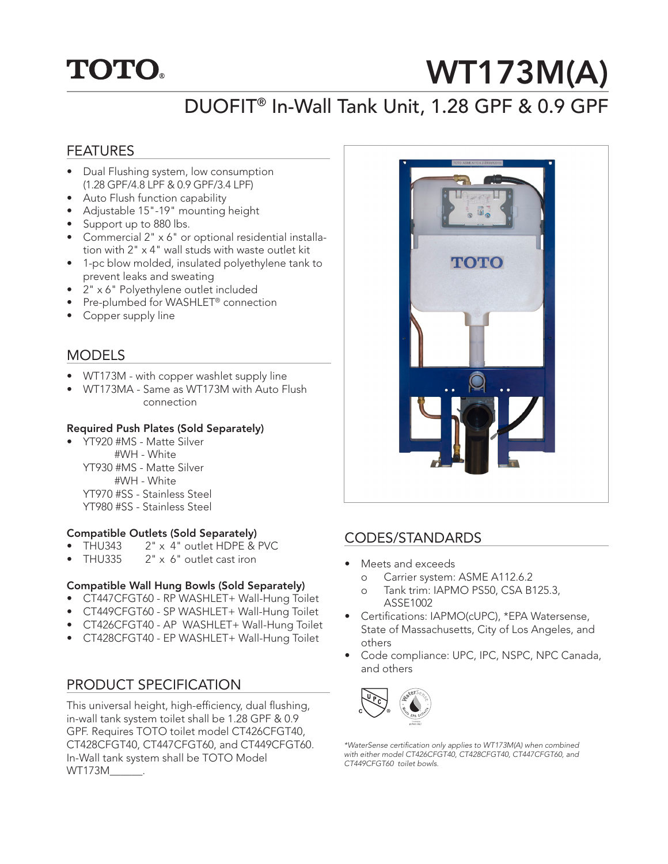## **TOTO.**

# WT173M(A)

### DUOFIT® In-Wall Tank Unit, 1.28 GPF & 0.9 GPF

#### FEATURES

- Dual Flushing system, low consumption (1.28 GPF/4.8 LPF & 0.9 GPF/3.4 LPF)
- Auto Flush function capability
- Adjustable 15"-19" mounting height
- Support up to 880 lbs.
- Commercial 2" x 6" or optional residential installation with 2" x 4" wall studs with waste outlet kit
- 1-pc blow molded, insulated polyethylene tank to prevent leaks and sweating
- 2" x 6" Polyethylene outlet included
- Pre-plumbed for WASHLET® connection
- Copper supply line

#### MODELS

- WT173M with copper washlet supply line
- WT173MA Same as WT173M with Auto Flush connection

#### Required Push Plates (Sold Separately)

• YT920 #MS - Matte Silver #WH - White YT930 #MS - Matte Silver #WH - White YT970 #SS - Stainless Steel YT980 #SS - Stainless Steel

#### Compatible Outlets (Sold Separately)

- THU343 2" x 4" outlet HDPE & PVC
- THU335 2" x 6" outlet cast iron

#### Compatible Wall Hung Bowls (Sold Separately)

- CT447CFGT60 RP WASHLET+ Wall-Hung Toilet
- CT449CFGT60 SP WASHLET+ Wall-Hung Toilet
- CT426CFGT40 AP WASHLET+ Wall-Hung Toilet
- CT428CFGT40 EP WASHLET+ Wall-Hung Toilet

#### PRODUCT SPECIFICATION

This universal height, high-efficiency, dual flushing, in-wall tank system toilet shall be 1.28 GPF & 0.9 GPF. Requires TOTO toilet model CT426CFGT40, CT428CFGT40, CT447CFGT60, and CT449CFGT60. In-Wall tank system shall be TOTO Model WT173M\_\_\_\_\_\_.



#### CODES/STANDARDS

- Meets and exceeds
	- o Carrier system: ASME A112.6.2
	- o Tank trim: IAPMO PS50, CSA B125.3, ASSE1002
- Certifications: IAPMO(cUPC), \*EPA Watersense, State of Massachusetts, City of Los Angeles, and others
- Code compliance: UPC, IPC, NSPC, NPC Canada, and others



*\*WaterSense certification only applies to WT173M(A) when combined with either model CT426CFGT40, CT428CFGT40, CT447CFGT60, and CT449CFGT60 toilet bowls.*